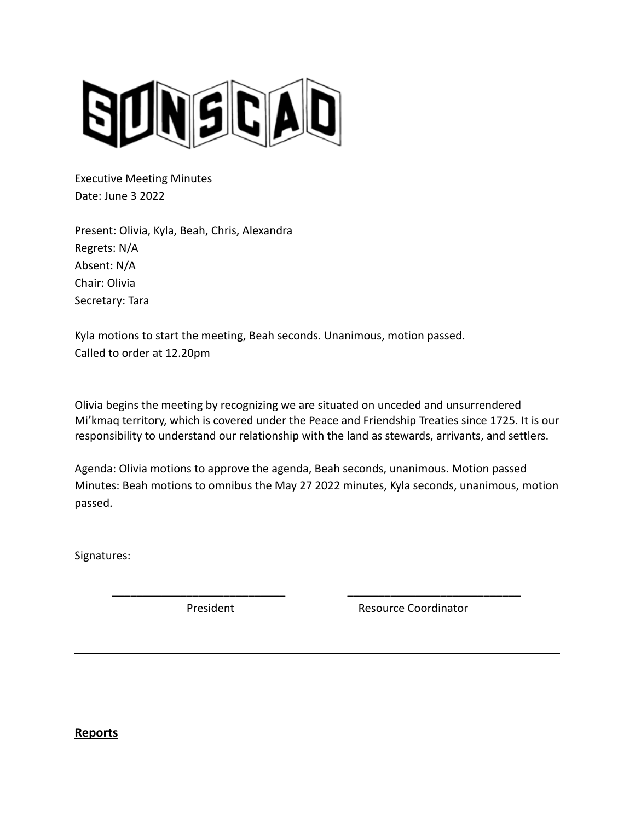

Executive Meeting Minutes Date: June 3 2022

Present: Olivia, Kyla, Beah, Chris, Alexandra Regrets: N/A Absent: N/A Chair: Olivia Secretary: Tara

Kyla motions to start the meeting, Beah seconds. Unanimous, motion passed. Called to order at 12.20pm

Olivia begins the meeting by recognizing we are situated on unceded and unsurrendered Mi'kmaq territory, which is covered under the Peace and Friendship Treaties since 1725. It is our responsibility to understand our relationship with the land as stewards, arrivants, and settlers.

Agenda: Olivia motions to approve the agenda, Beah seconds, unanimous. Motion passed Minutes: Beah motions to omnibus the May 27 2022 minutes, Kyla seconds, unanimous, motion passed.

\_\_\_\_\_\_\_\_\_\_\_\_\_\_\_\_\_\_\_\_\_\_\_\_\_\_\_\_ \_\_\_\_\_\_\_\_\_\_\_\_\_\_\_\_\_\_\_\_\_\_\_\_\_\_\_\_

Signatures:

President **Resource Coordinator** 

**Reports**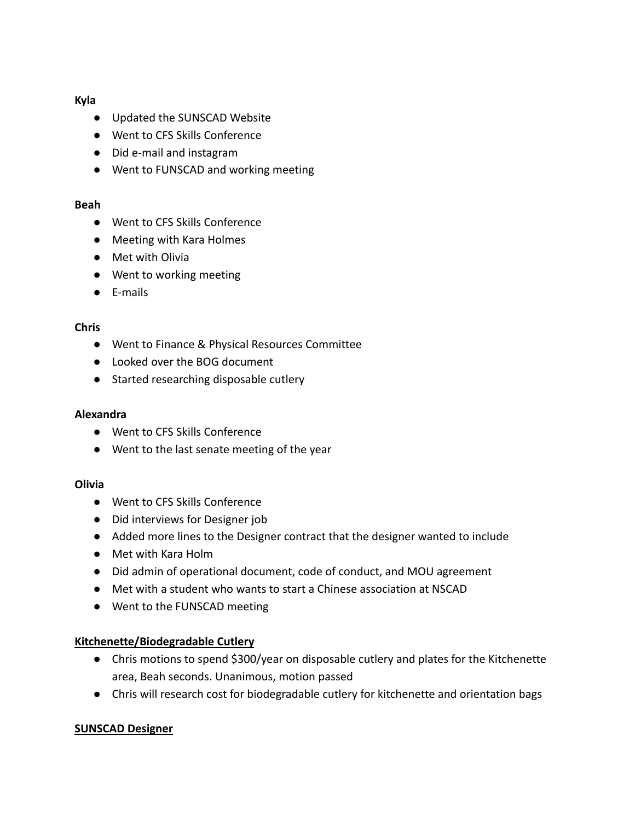## **Kyla**

- Updated the SUNSCAD Website
- Went to CFS Skills Conference
- Did e-mail and instagram
- Went to FUNSCAD and working meeting

# **Beah**

- Went to CFS Skills Conference
- Meeting with Kara Holmes
- Met with Olivia
- Went to working meeting
- E-mails

# **Chris**

- Went to Finance & Physical Resources Committee
- Looked over the BOG document
- Started researching disposable cutlery

## **Alexandra**

- Went to CFS Skills Conference
- Went to the last senate meeting of the year

# **Olivia**

- Went to CFS Skills Conference
- Did interviews for Designer job
- Added more lines to the Designer contract that the designer wanted to include
- Met with Kara Holm
- Did admin of operational document, code of conduct, and MOU agreement
- Met with a student who wants to start a Chinese association at NSCAD
- Went to the FUNSCAD meeting

# **Kitchenette/Biodegradable Cutlery**

- Chris motions to spend \$300/year on disposable cutlery and plates for the Kitchenette area, Beah seconds. Unanimous, motion passed
- Chris will research cost for biodegradable cutlery for kitchenette and orientation bags

# **SUNSCAD Designer**